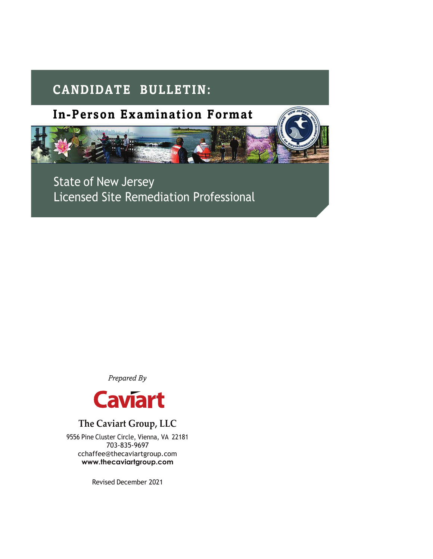# **CANDIDATE BULLETIN:**



State of New Jersey Licensed Site Remediation Professional

*Prepared By*



## **The Caviart Group, LLC**

9556 Pine Cluster Circle, Vienna, VA 22181 703-835-9697 [cchaffee@thecaviartgroup.com](mailto:cchaffee@thecaviartgroup.com) **[www.thecaviartgroup.com](http://www.thecaviartgroup.com/)**

Revised December 2021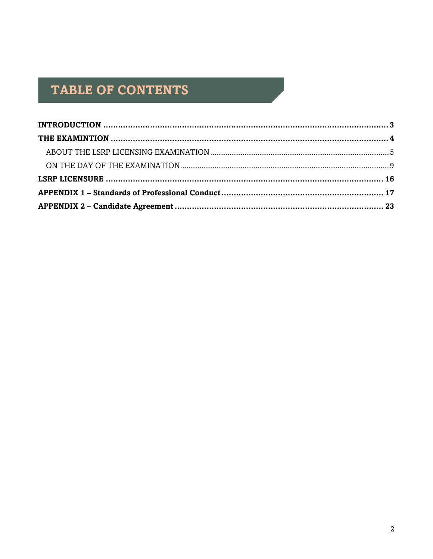# TABLE OF CONTENTS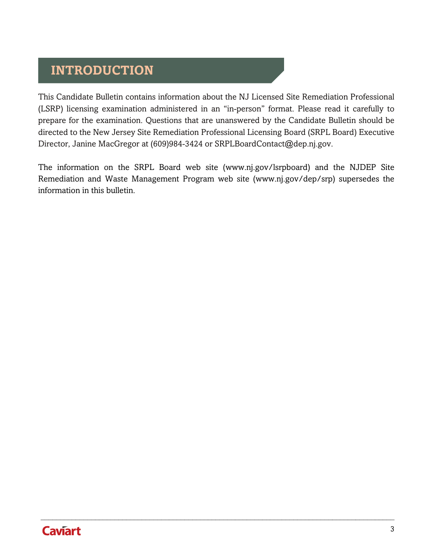# <span id="page-2-0"></span>**INTRODUCTION**

This Candidate Bulletin contains information about the NJ Licensed Site Remediation Professional (LSRP) licensing examination administered in an "in-person" format. Please read it carefully to prepare for the examination. Questions that are unanswered by the Candidate Bulletin should be directed to the New Jersey Site Remediation Professional Licensing Board (SRPL Board) Executive Director, Janine MacGregor at (609)984-3424 or [SRPLBoardContact@dep.nj.gov.](mailto:SRPLBoardContact@dep.nj.gov)

The information on the SRPL Board web site [\(www.nj.gov/lsrpboard\) a](http://www.nj.gov/lsrpboard))nd the NJDEP Site Remediation and Waste Management Program web site [\(www.nj.gov/dep/srp\) s](http://www.nj.gov/dep/srp))upersedes the information in this bulletin.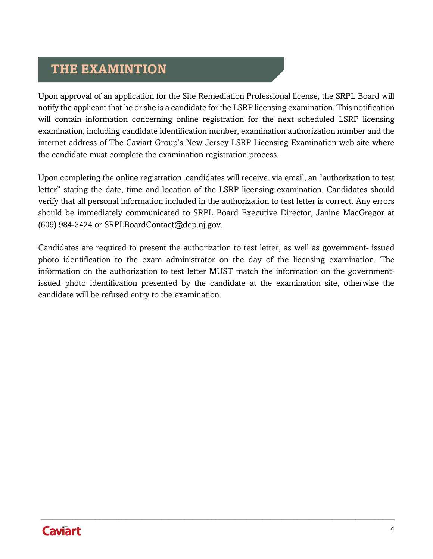## <span id="page-3-0"></span>**THE EXAMINTION**

Upon approval of an application for the Site Remediation Professional license, the SRPL Board will notify the applicant that he or she is a candidate for the LSRP licensing examination. This notification will contain information concerning online registration for the next scheduled LSRP licensing examination, including candidate identification number, examination authorization number and the internet address of The Caviart Group's New Jersey LSRP Licensing Examination web site where the candidate must complete the examination registration process.

Upon completing the online registration, candidates will receive, via email, an "authorization to test letter" stating the date, time and location of the LSRP licensing examination. Candidates should verify that all personal information included in the authorization to test letter is correct. Any errors should be immediately communicated to SRPL Board Executive Director, Janine MacGregor at (609) 984-3424 or [SRPLBoardContact@dep.nj.gov.](mailto:SRPLBoardContact@dep.nj.gov)

Candidates are required to present the authorization to test letter, as well as government- issued photo identification to the exam administrator on the day of the licensing examination. The information on the authorization to test letter MUST match the information on the governmentissued photo identification presented by the candidate at the examination site, otherwise the candidate will be refused entry to the examination.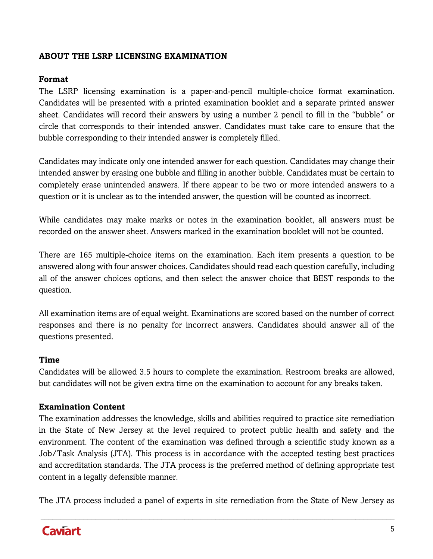## <span id="page-4-0"></span>**ABOUT THE LSRP LICENSING EXAMINATION**

### **Format**

The LSRP licensing examination is a paper-and-pencil multiple-choice format examination. Candidates will be presented with a printed examination booklet and a separate printed answer sheet. Candidates will record their answers by using a number 2 pencil to fill in the "bubble" or circle that corresponds to their intended answer. Candidates must take care to ensure that the bubble corresponding to their intended answer is completely filled.

Candidates may indicate only one intended answer for each question. Candidates may change their intended answer by erasing one bubble and filling in another bubble. Candidates must be certain to completely erase unintended answers. If there appear to be two or more intended answers to a question or it is unclear as to the intended answer, the question will be counted as incorrect.

While candidates may make marks or notes in the examination booklet, all answers must be recorded on the answer sheet. Answers marked in the examination booklet will not be counted.

There are 165 multiple-choice items on the examination. Each item presents a question to be answered along with four answer choices. Candidates should read each question carefully, including all of the answer choices options, and then select the answer choice that BEST responds to the question.

All examination items are of equal weight. Examinations are scored based on the number of correct responses and there is no penalty for incorrect answers. Candidates should answer all of the questions presented.

#### **Time**

Candidates will be allowed 3.5 hours to complete the examination. Restroom breaks are allowed, but candidates will not be given extra time on the examination to account for any breaks taken.

#### **Examination Content**

The examination addresses the knowledge, skills and abilities required to practice site remediation in the State of New Jersey at the level required to protect public health and safety and the environment. The content of the examination was defined through a scientific study known as a Job/Task Analysis (JTA). This process is in accordance with the accepted testing best practices and accreditation standards. The JTA process is the preferred method of defining appropriate test content in a legally defensible manner.

The JTA process included a panel of experts in site remediation from the State of New Jersey as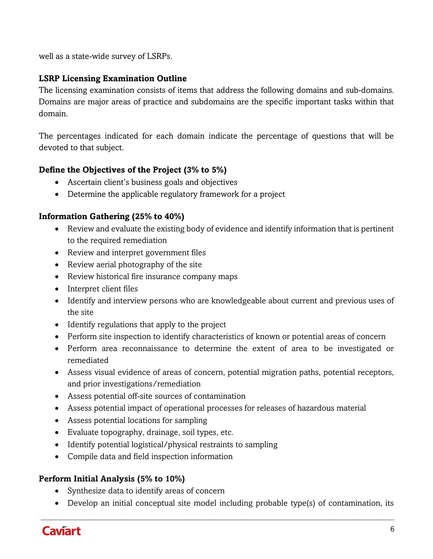well as a state-wide survey of LSRPs.

## **LSRP Licensing Examination Outline**

The licensing examination consists of items that address the following domains and sub-domains. Domains are major areas of practice and subdomains are the specific important tasks within that domain.

The percentages indicated for each domain indicate the percentage of questions that will be devoted to that subject.

## **Define the Objectives of the Project (3% to 5%)**

- Ascertain client's business goals and objectives
- Determine the applicable regulatory framework for a project

### **Information Gathering (25% to 40%)**

- Review and evaluate the existing body of evidence and identify information that is pertinent to the required remediation
- Review and interpret government files
- Review aerial photography of the site
- Review historical fire insurance company maps
- Interpret client files
- Identify and interview persons who are knowledgeable about current and previous uses of the site
- Identify regulations that apply to the project
- Perform site inspection to identify characteristics of known or potential areas of concern
- Perform area reconnaissance to determine the extent of area to be investigated or remediated
- Assess visual evidence of areas of concern, potential migration paths, potential receptors, and prior investigations/remediation
- Assess potential off-site sources of contamination
- Assess potential impact of operational processes for releases of hazardous material
- Assess potential locations for sampling
- Evaluate topography, drainage, soil types, etc.
- Identify potential logistical/physical restraints to sampling
- Compile data and field inspection information

### **Perform Initial Analysis (5% to 10%)**

- Synthesize data to identify areas of concern
- Develop an initial conceptual site model including probable type(s) of contamination, its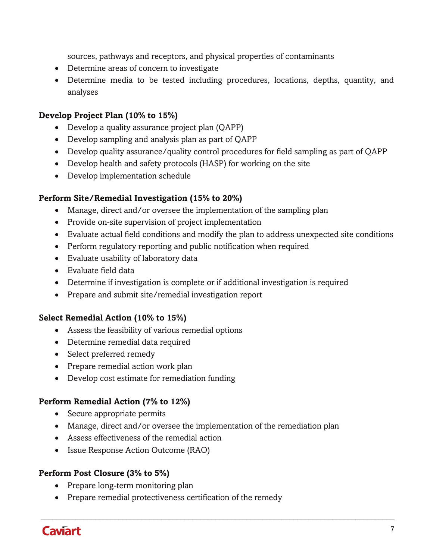sources, pathways and receptors, and physical properties of contaminants

- Determine areas of concern to investigate
- Determine media to be tested including procedures, locations, depths, quantity, and analyses

### **Develop Project Plan (10% to 15%)**

- Develop a quality assurance project plan (QAPP)
- Develop sampling and analysis plan as part of QAPP
- Develop quality assurance/quality control procedures for field sampling as part of QAPP
- Develop health and safety protocols (HASP) for working on the site
- Develop implementation schedule

#### **Perform Site/Remedial Investigation (15% to 20%)**

- Manage, direct and/or oversee the implementation of the sampling plan
- Provide on-site supervision of project implementation
- Evaluate actual field conditions and modify the plan to address unexpected site conditions
- Perform regulatory reporting and public notification when required
- Evaluate usability of laboratory data
- Evaluate field data
- Determine if investigation is complete or if additional investigation is required
- Prepare and submit site/remedial investigation report

### **Select Remedial Action (10% to 15%)**

- Assess the feasibility of various remedial options
- Determine remedial data required
- Select preferred remedy
- Prepare remedial action work plan
- Develop cost estimate for remediation funding

### **Perform Remedial Action (7% to 12%)**

- Secure appropriate permits
- Manage, direct and/or oversee the implementation of the remediation plan

 $\_$ 

- Assess effectiveness of the remedial action
- Issue Response Action Outcome (RAO)

### **Perform Post Closure (3% to 5%)**

- Prepare long-term monitoring plan
- Prepare remedial protectiveness certification of the remedy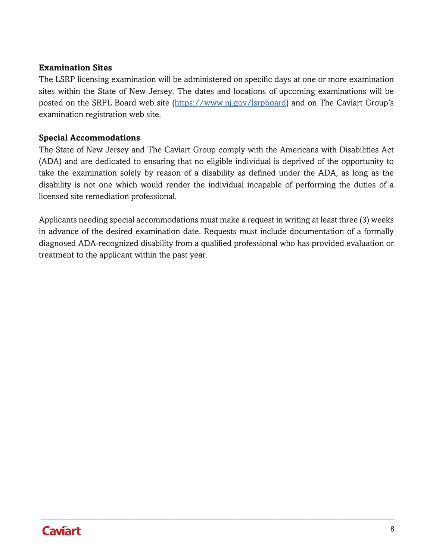#### **Examination Sites**

The LSRP licensing examination will be administered on specific days at one or more examination sites within the State of New Jersey. The dates and locations of upcoming examinations will be posted on the SRPL Board web site [\(https://www.nj.gov/lsrpboard\)](https://www.nj.gov/lsrpboard) and on The Caviart Group's examination registration web site.

#### **Special Accommodations**

The State of New Jersey and The Caviart Group comply with the Americans with Disabilities Act (ADA) and are dedicated to ensuring that no eligible individual is deprived of the opportunity to take the examination solely by reason of a disability as defined under the ADA, as long as the disability is not one which would render the individual incapable of performing the duties of a licensed site remediation professional.

Applicants needing special accommodations must make a request in writing at least three (3) weeks in advance of the desired examination date. Requests must include documentation of a formally diagnosed ADA-recognized disability from a qualified professional who has provided evaluation or treatment to the applicant within the past year.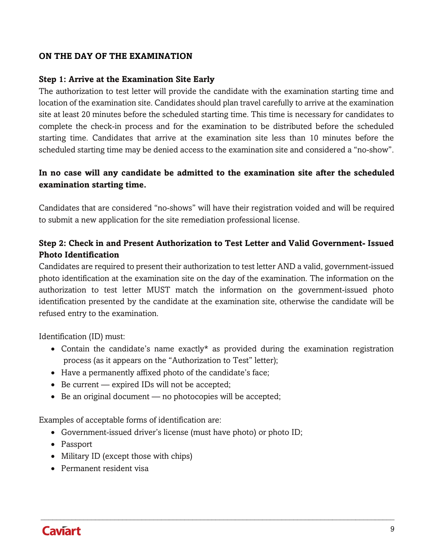#### <span id="page-8-0"></span>**ON THE DAY OF THE EXAMINATION**

#### **Step 1: Arrive at the Examination Site Early**

The authorization to test letter will provide the candidate with the examination starting time and location of the examination site. Candidates should plan travel carefully to arrive at the examination site at least 20 minutes before the scheduled starting time. This time is necessary for candidates to complete the check-in process and for the examination to be distributed before the scheduled starting time. Candidates that arrive at the examination site less than 10 minutes before the scheduled starting time may be denied access to the examination site and considered a "no-show".

## **In no case will any candidate be admitted to the examination site after the scheduled examination starting time.**

Candidates that are considered "no-shows" will have their registration voided and will be required to submit a new application for the site remediation professional license.

## **Step 2: Check in and Present Authorization to Test Letter and Valid Government- Issued Photo Identification**

Candidates are required to present their authorization to test letter AND a valid, government-issued photo identification at the examination site on the day of the examination. The information on the authorization to test letter MUST match the information on the government-issued photo identification presented by the candidate at the examination site, otherwise the candidate will be refused entry to the examination.

Identification (ID) must:

• Contain the candidate's name exactly\* as provided during the examination registration process (as it appears on the "Authorization to Test" letter);

 $\_$ 

- Have a permanently affixed photo of the candidate's face;
- Be current expired IDs will not be accepted;
- Be an original document no photocopies will be accepted;

Examples of acceptable forms of identification are:

- Government-issued driver's license (must have photo) or photo ID;
- Passport
- Military ID (except those with chips)
- Permanent resident visa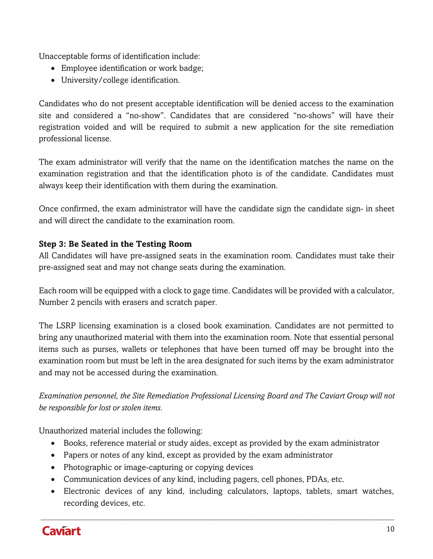Unacceptable forms of identification include:

- Employee identification or work badge;
- University/college identification.

Candidates who do not present acceptable identification will be denied access to the examination site and considered a "no-show". Candidates that are considered "no-shows" will have their registration voided and will be required to submit a new application for the site remediation professional license.

The exam administrator will verify that the name on the identification matches the name on the examination registration and that the identification photo is of the candidate. Candidates must always keep their identification with them during the examination.

Once confirmed, the exam administrator will have the candidate sign the candidate sign- in sheet and will direct the candidate to the examination room.

## **Step 3: Be Seated in the Testing Room**

All Candidates will have pre-assigned seats in the examination room. Candidates must take their pre-assigned seat and may not change seats during the examination.

Each room will be equipped with a clock to gage time. Candidates will be provided with a calculator, Number 2 pencils with erasers and scratch paper.

The LSRP licensing examination is a closed book examination. Candidates are not permitted to bring any unauthorized material with them into the examination room. Note that essential personal items such as purses, wallets or telephones that have been turned off may be brought into the examination room but must be left in the area designated for such items by the exam administrator and may not be accessed during the examination.

*Examination personnel, the Site Remediation Professional Licensing Board and The Caviart Group will not be responsible for lost or stolen items.*

Unauthorized material includes the following:

- Books, reference material or study aides, except as provided by the exam administrator
- Papers or notes of any kind, except as provided by the exam administrator
- Photographic or image-capturing or copying devices
- Communication devices of any kind, including pagers, cell phones, PDAs, etc.
- Electronic devices of any kind, including calculators, laptops, tablets, smart watches, recording devices, etc.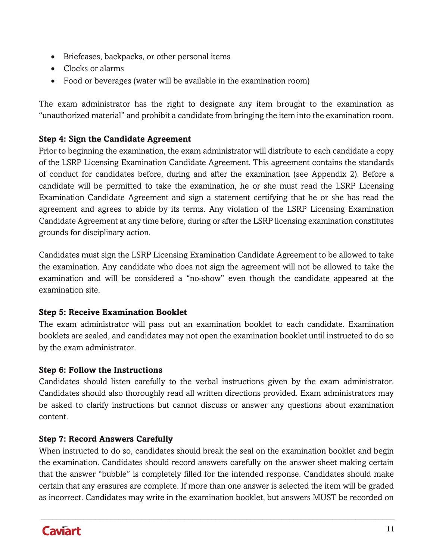- Briefcases, backpacks, or other personal items
- Clocks or alarms
- Food or beverages (water will be available in the examination room)

The exam administrator has the right to designate any item brought to the examination as "unauthorized material" and prohibit a candidate from bringing the item into the examination room.

## **Step 4: Sign the Candidate Agreement**

Prior to beginning the examination, the exam administrator will distribute to each candidate a copy of the LSRP Licensing Examination Candidate Agreement. This agreement contains the standards of conduct for candidates before, during and after the examination (see Appendix 2). Before a candidate will be permitted to take the examination, he or she must read the LSRP Licensing Examination Candidate Agreement and sign a statement certifying that he or she has read the agreement and agrees to abide by its terms. Any violation of the LSRP Licensing Examination Candidate Agreement at any time before, during or after the LSRP licensing examination constitutes grounds for disciplinary action.

Candidates must sign the LSRP Licensing Examination Candidate Agreement to be allowed to take the examination. Any candidate who does not sign the agreement will not be allowed to take the examination and will be considered a "no-show" even though the candidate appeared at the examination site.

### **Step 5: Receive Examination Booklet**

The exam administrator will pass out an examination booklet to each candidate. Examination booklets are sealed, and candidates may not open the examination booklet until instructed to do so by the exam administrator.

## **Step 6: Follow the Instructions**

Candidates should listen carefully to the verbal instructions given by the exam administrator. Candidates should also thoroughly read all written directions provided. Exam administrators may be asked to clarify instructions but cannot discuss or answer any questions about examination content.

## **Step 7: Record Answers Carefully**

When instructed to do so, candidates should break the seal on the examination booklet and begin the examination. Candidates should record answers carefully on the answer sheet making certain that the answer "bubble" is completely filled for the intended response. Candidates should make certain that any erasures are complete. If more than one answer is selected the item will be graded as incorrect. Candidates may write in the examination booklet, but answers MUST be recorded on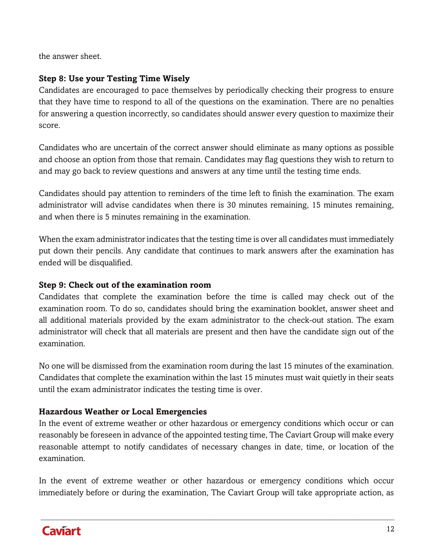the answer sheet.

## **Step 8: Use your Testing Time Wisely**

Candidates are encouraged to pace themselves by periodically checking their progress to ensure that they have time to respond to all of the questions on the examination. There are no penalties for answering a question incorrectly, so candidates should answer every question to maximize their score.

Candidates who are uncertain of the correct answer should eliminate as many options as possible and choose an option from those that remain. Candidates may flag questions they wish to return to and may go back to review questions and answers at any time until the testing time ends.

Candidates should pay attention to reminders of the time left to finish the examination. The exam administrator will advise candidates when there is 30 minutes remaining, 15 minutes remaining, and when there is 5 minutes remaining in the examination.

When the exam administrator indicates that the testing time is over all candidates must immediately put down their pencils. Any candidate that continues to mark answers after the examination has ended will be disqualified.

### **Step 9: Check out of the examination room**

Candidates that complete the examination before the time is called may check out of the examination room. To do so, candidates should bring the examination booklet, answer sheet and all additional materials provided by the exam administrator to the check-out station. The exam administrator will check that all materials are present and then have the candidate sign out of the examination.

No one will be dismissed from the examination room during the last 15 minutes of the examination. Candidates that complete the examination within the last 15 minutes must wait quietly in their seats until the exam administrator indicates the testing time is over.

## **Hazardous Weather or Local Emergencies**

In the event of extreme weather or other hazardous or emergency conditions which occur or can reasonably be foreseen in advance of the appointed testing time, The Caviart Group will make every reasonable attempt to notify candidates of necessary changes in date, time, or location of the examination.

In the event of extreme weather or other hazardous or emergency conditions which occur immediately before or during the examination, The Caviart Group will take appropriate action, as

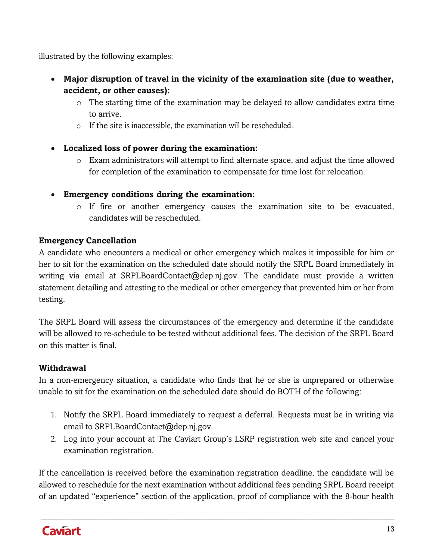illustrated by the following examples:

- **Major disruption of travel in the vicinity of the examination site (due to weather, accident, or other causes):**
	- $\circ$  The starting time of the examination may be delayed to allow candidates extra time to arrive.
	- o If the site is inaccessible, the examination will be rescheduled.
- **Localized loss of power during the examination:**
	- $\circ$  Exam administrators will attempt to find alternate space, and adjust the time allowed for completion of the examination to compensate for time lost for relocation.
- **Emergency conditions during the examination:**
	- $\circ$  If fire or another emergency causes the examination site to be evacuated, candidates will be rescheduled.

## **Emergency Cancellation**

A candidate who encounters a medical or other emergency which makes it impossible for him or her to sit for the examination on the scheduled date should notify the SRPL Board immediately in writing via email at [SRPLBoardContact@dep.nj.gov. T](mailto:SRPLBoardContact@dep.nj.gov)he candidate must provide a written statement detailing and attesting to the medical or other emergency that prevented him or her from testing.

The SRPL Board will assess the circumstances of the emergency and determine if the candidate will be allowed to re-schedule to be tested without additional fees. The decision of the SRPL Board on this matter is final.

## **Withdrawal**

In a non-emergency situation, a candidate who finds that he or she is unprepared or otherwise unable to sit for the examination on the scheduled date should do BOTH of the following:

- 1. Notify the SRPL Board immediately to request a deferral. Requests must be in writing via email to [SRPLBoardContact@dep.nj.gov.](mailto:SRPLBoardContact@dep.nj.gov)
- 2. Log into your account at The Caviart Group's LSRP registration web site and cancel your examination registration.

If the cancellation is received before the examination registration deadline, the candidate will be allowed to reschedule for the next examination without additional fees pending SRPL Board receipt of an updated "experience" section of the application, proof of compliance with the 8-hour health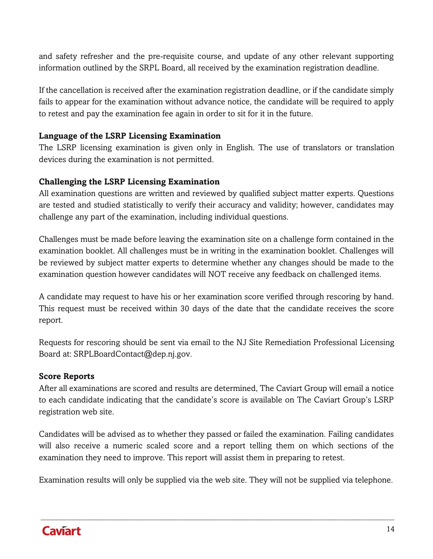and safety refresher and the pre-requisite course, and update of any other relevant supporting information outlined by the SRPL Board, all received by the examination registration deadline.

If the cancellation is received after the examination registration deadline, or if the candidate simply fails to appear for the examination without advance notice, the candidate will be required to apply to retest and pay the examination fee again in order to sit for it in the future.

#### **Language of the LSRP Licensing Examination**

The LSRP licensing examination is given only in English. The use of translators or translation devices during the examination is not permitted.

#### **Challenging the LSRP Licensing Examination**

All examination questions are written and reviewed by qualified subject matter experts. Questions are tested and studied statistically to verify their accuracy and validity; however, candidates may challenge any part of the examination, including individual questions.

Challenges must be made before leaving the examination site on a challenge form contained in the examination booklet. All challenges must be in writing in the examination booklet. Challenges will be reviewed by subject matter experts to determine whether any changes should be made to the examination question however candidates will NOT receive any feedback on challenged items.

A candidate may request to have his or her examination score verified through rescoring by hand. This request must be received within 30 days of the date that the candidate receives the score report.

Requests for rescoring should be sent via email to the NJ Site Remediation Professional Licensing Board at: [SRPLBoardContact@dep.nj.gov.](mailto:SRPLBoardContact@dep.nj.gov)

#### **Score Reports**

After all examinations are scored and results are determined, The Caviart Group will email a notice to each candidate indicating that the candidate's score is available on The Caviart Group's LSRP registration web site.

Candidates will be advised as to whether they passed or failed the examination. Failing candidates will also receive a numeric scaled score and a report telling them on which sections of the examination they need to improve. This report will assist them in preparing to retest.

Examination results will only be supplied via the web site. They will not be supplied via telephone.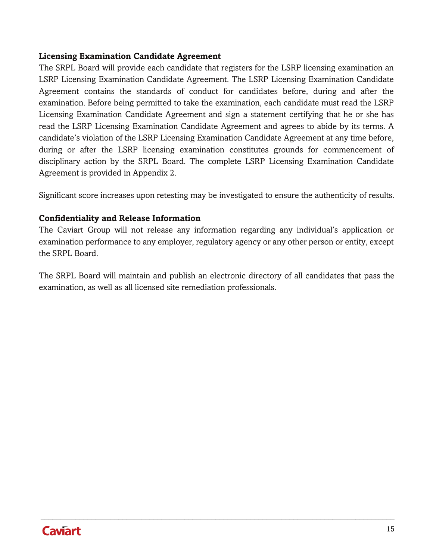#### **Licensing Examination Candidate Agreement**

The SRPL Board will provide each candidate that registers for the LSRP licensing examination an LSRP Licensing Examination Candidate Agreement. The LSRP Licensing Examination Candidate Agreement contains the standards of conduct for candidates before, during and after the examination. Before being permitted to take the examination, each candidate must read the LSRP Licensing Examination Candidate Agreement and sign a statement certifying that he or she has read the LSRP Licensing Examination Candidate Agreement and agrees to abide by its terms. A candidate's violation of the LSRP Licensing Examination Candidate Agreement at any time before, during or after the LSRP licensing examination constitutes grounds for commencement of disciplinary action by the SRPL Board. The complete LSRP Licensing Examination Candidate Agreement is provided in Appendix 2.

Significant score increases upon retesting may be investigated to ensure the authenticity of results.

#### **Confidentiality and Release Information**

The Caviart Group will not release any information regarding any individual's application or examination performance to any employer, regulatory agency or any other person or entity, except the SRPL Board.

The SRPL Board will maintain and publish an electronic directory of all candidates that pass the examination, as well as all licensed site remediation professionals.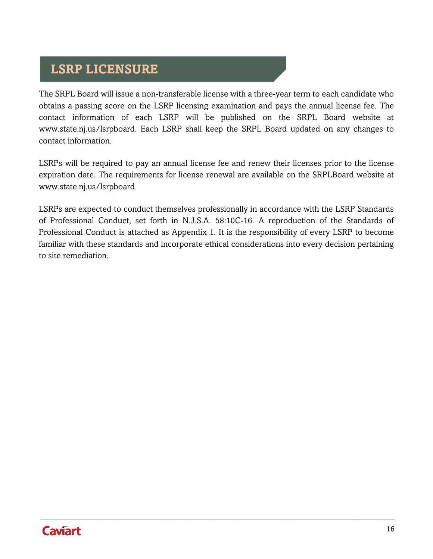# <span id="page-15-0"></span>**LSRP LICENSURE**

The SRPL Board will issue a non-transferable license with a three-year term to each candidate who obtains a passing score on the LSRP licensing examination and pays the annual license fee. The contact information of each LSRP will be published on the SRPL Board website at [www.state.nj.us/lsrpboard. E](http://www.state.nj.us/lsrpboard)ach LSRP shall keep the SRPL Board updated on any changes to contact information.

LSRPs will be required to pay an annual license fee and renew their licenses prior to the license expiration date. The requirements for license renewal are available on the SRPLBoard website at [www.state.nj.us/lsrpboard.](http://www.state.nj.us/lsrpboard)

LSRPs are expected to conduct themselves professionally in accordance with the LSRP Standards of Professional Conduct, set forth in N.J.S.A. 58:10C-16. A reproduction of the Standards of Professional Conduct is attached as Appendix 1. It is the responsibility of every LSRP to become familiar with these standards and incorporate ethical considerations into every decision pertaining to site remediation.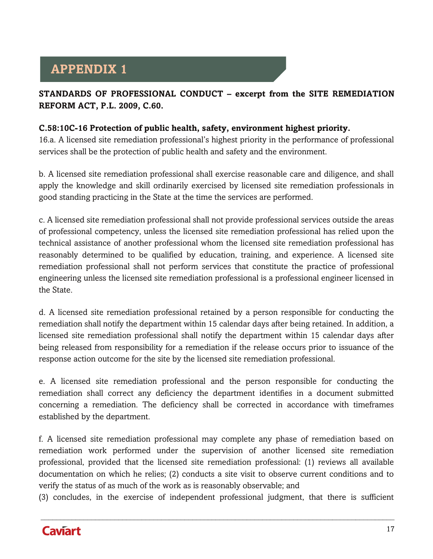# <span id="page-16-0"></span>**APPENDIX 1**

## **STANDARDS OF PROFESSIONAL CONDUCT – excerpt from the SITE REMEDIATION REFORM ACT, P.L. 2009, C.60.**

#### **C.58:10C-16 Protection of public health, safety, environment highest priority.**

16.a. A licensed site remediation professional's highest priority in the performance of professional services shall be the protection of public health and safety and the environment.

b. A licensed site remediation professional shall exercise reasonable care and diligence, and shall apply the knowledge and skill ordinarily exercised by licensed site remediation professionals in good standing practicing in the State at the time the services are performed.

c. A licensed site remediation professional shall not provide professional services outside the areas of professional competency, unless the licensed site remediation professional has relied upon the technical assistance of another professional whom the licensed site remediation professional has reasonably determined to be qualified by education, training, and experience. A licensed site remediation professional shall not perform services that constitute the practice of professional engineering unless the licensed site remediation professional is a professional engineer licensed in the State.

d. A licensed site remediation professional retained by a person responsible for conducting the remediation shall notify the department within 15 calendar days after being retained. In addition, a licensed site remediation professional shall notify the department within 15 calendar days after being released from responsibility for a remediation if the release occurs prior to issuance of the response action outcome for the site by the licensed site remediation professional.

e. A licensed site remediation professional and the person responsible for conducting the remediation shall correct any deficiency the department identifies in a document submitted concerning a remediation. The deficiency shall be corrected in accordance with timeframes established by the department.

f. A licensed site remediation professional may complete any phase of remediation based on remediation work performed under the supervision of another licensed site remediation professional, provided that the licensed site remediation professional: (1) reviews all available documentation on which he relies; (2) conducts a site visit to observe current conditions and to verify the status of as much of the work as is reasonably observable; and

(3) concludes, in the exercise of independent professional judgment, that there is sufficient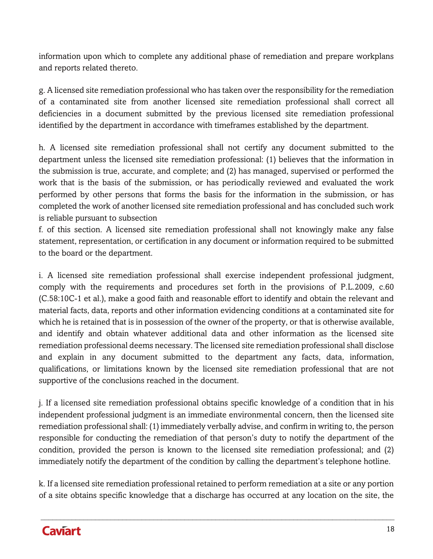information upon which to complete any additional phase of remediation and prepare workplans and reports related thereto.

g. A licensed site remediation professional who has taken over the responsibility for the remediation of a contaminated site from another licensed site remediation professional shall correct all deficiencies in a document submitted by the previous licensed site remediation professional identified by the department in accordance with timeframes established by the department.

h. A licensed site remediation professional shall not certify any document submitted to the department unless the licensed site remediation professional: (1) believes that the information in the submission is true, accurate, and complete; and (2) has managed, supervised or performed the work that is the basis of the submission, or has periodically reviewed and evaluated the work performed by other persons that forms the basis for the information in the submission, or has completed the work of another licensed site remediation professional and has concluded such work is reliable pursuant to subsection

f. of this section. A licensed site remediation professional shall not knowingly make any false statement, representation, or certification in any document or information required to be submitted to the board or the department.

i. A licensed site remediation professional shall exercise independent professional judgment, comply with the requirements and procedures set forth in the provisions of P.L.2009, c.60 (C.58:10C-1 et al.), make a good faith and reasonable effort to identify and obtain the relevant and material facts, data, reports and other information evidencing conditions at a contaminated site for which he is retained that is in possession of the owner of the property, or that is otherwise available, and identify and obtain whatever additional data and other information as the licensed site remediation professional deems necessary. The licensed site remediation professional shall disclose and explain in any document submitted to the department any facts, data, information, qualifications, or limitations known by the licensed site remediation professional that are not supportive of the conclusions reached in the document.

j. If a licensed site remediation professional obtains specific knowledge of a condition that in his independent professional judgment is an immediate environmental concern, then the licensed site remediation professional shall: (1) immediately verbally advise, and confirm in writing to, the person responsible for conducting the remediation of that person's duty to notify the department of the condition, provided the person is known to the licensed site remediation professional; and (2) immediately notify the department of the condition by calling the department's telephone hotline.

k. If a licensed site remediation professional retained to perform remediation at a site or any portion of a site obtains specific knowledge that a discharge has occurred at any location on the site, the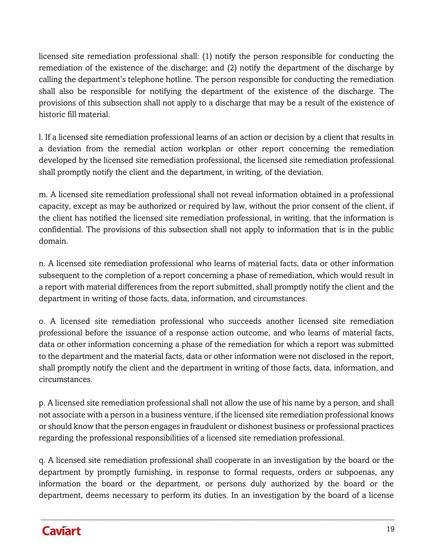licensed site remediation professional shall: (1) notify the person responsible for conducting the remediation of the existence of the discharge; and (2) notify the department of the discharge by calling the department's telephone hotline. The person responsible for conducting the remediation shall also be responsible for notifying the department of the existence of the discharge. The provisions of this subsection shall not apply to a discharge that may be a result of the existence of historic fill material.

l. If a licensed site remediation professional learns of an action or decision by a client that results in a deviation from the remedial action workplan or other report concerning the remediation developed by the licensed site remediation professional, the licensed site remediation professional shall promptly notify the client and the department, in writing, of the deviation.

m. A licensed site remediation professional shall not reveal information obtained in a professional capacity, except as may be authorized or required by law, without the prior consent of the client, if the client has notified the licensed site remediation professional, in writing, that the information is confidential. The provisions of this subsection shall not apply to information that is in the public domain.

n. A licensed site remediation professional who learns of material facts, data or other information subsequent to the completion of a report concerning a phase of remediation, which would result in a report with material differences from the report submitted, shall promptly notify the client and the department in writing of those facts, data, information, and circumstances.

o. A licensed site remediation professional who succeeds another licensed site remediation professional before the issuance of a response action outcome, and who learns of material facts, data or other information concerning a phase of the remediation for which a report was submitted to the department and the material facts, data or other information were not disclosed in the report, shall promptly notify the client and the department in writing of those facts, data, information, and circumstances.

p. A licensed site remediation professional shall not allow the use of his name by a person, and shall not associate with a person in a business venture, if the licensed site remediation professional knows or should know that the person engages in fraudulent or dishonest business or professional practices regarding the professional responsibilities of a licensed site remediation professional.

q. A licensed site remediation professional shall cooperate in an investigation by the board or the department by promptly furnishing, in response to formal requests, orders or subpoenas, any information the board or the department, or persons duly authorized by the board or the department, deems necessary to perform its duties. In an investigation by the board of a license

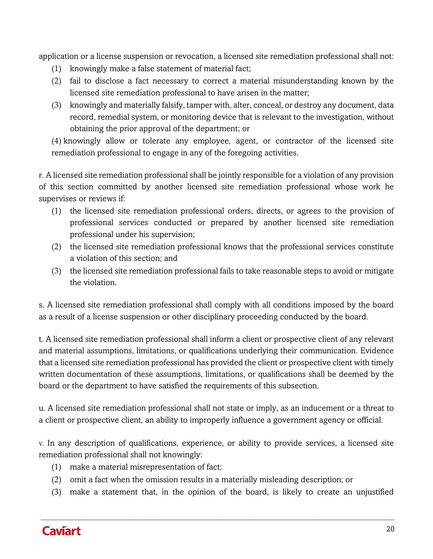application or a license suspension or revocation, a licensed site remediation professional shall not:

- (1) knowingly make a false statement of material fact;
- (2) fail to disclose a fact necessary to correct a material misunderstanding known by the licensed site remediation professional to have arisen in the matter;
- (3) knowingly and materially falsify, tamper with, alter, conceal, or destroy any document, data record, remedial system, or monitoring device that is relevant to the investigation, without obtaining the prior approval of the department; or

(4) knowingly allow or tolerate any employee, agent, or contractor of the licensed site remediation professional to engage in any of the foregoing activities.

r. A licensed site remediation professional shall be jointly responsible for a violation of any provision of this section committed by another licensed site remediation professional whose work he supervises or reviews if:

- (1) the licensed site remediation professional orders, directs, or agrees to the provision of professional services conducted or prepared by another licensed site remediation professional under his supervision;
- (2) the licensed site remediation professional knows that the professional services constitute a violation of this section; and
- (3) the licensed site remediation professional fails to take reasonable steps to avoid or mitigate the violation.

s. A licensed site remediation professional shall comply with all conditions imposed by the board as a result of a license suspension or other disciplinary proceeding conducted by the board.

t. A licensed site remediation professional shall inform a client or prospective client of any relevant and material assumptions, limitations, or qualifications underlying their communication. Evidence that a licensed site remediation professional has provided the client or prospective client with timely written documentation of these assumptions, limitations, or qualifications shall be deemed by the board or the department to have satisfied the requirements of this subsection.

u. A licensed site remediation professional shall not state or imply, as an inducement or a threat to a client or prospective client, an ability to improperly influence a government agency or official.

v. In any description of qualifications, experience, or ability to provide services, a licensed site remediation professional shall not knowingly:

- (1) make a material misrepresentation of fact;
- (2) omit a fact when the omission results in a materially misleading description; or
- (3) make a statement that, in the opinion of the board, is likely to create an unjustified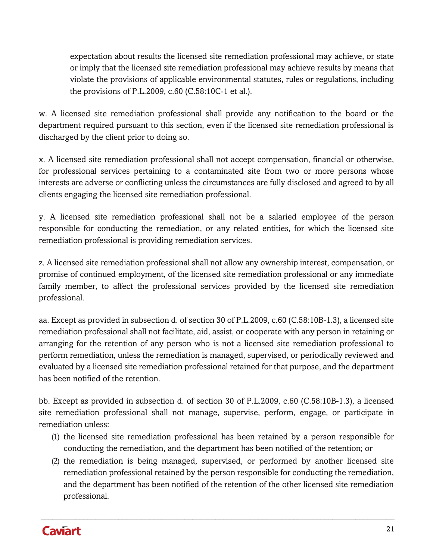expectation about results the licensed site remediation professional may achieve, or state or imply that the licensed site remediation professional may achieve results by means that violate the provisions of applicable environmental statutes, rules or regulations, including the provisions of P.L.2009, c.60 (C.58:10C-1 et al.).

w. A licensed site remediation professional shall provide any notification to the board or the department required pursuant to this section, even if the licensed site remediation professional is discharged by the client prior to doing so.

x. A licensed site remediation professional shall not accept compensation, financial or otherwise, for professional services pertaining to a contaminated site from two or more persons whose interests are adverse or conflicting unless the circumstances are fully disclosed and agreed to by all clients engaging the licensed site remediation professional.

y. A licensed site remediation professional shall not be a salaried employee of the person responsible for conducting the remediation, or any related entities, for which the licensed site remediation professional is providing remediation services.

z. A licensed site remediation professional shall not allow any ownership interest, compensation, or promise of continued employment, of the licensed site remediation professional or any immediate family member, to affect the professional services provided by the licensed site remediation professional.

aa. Except as provided in subsection d. of section 30 of P.L.2009, c.60 (C.58:10B-1.3), a licensed site remediation professional shall not facilitate, aid, assist, or cooperate with any person in retaining or arranging for the retention of any person who is not a licensed site remediation professional to perform remediation, unless the remediation is managed, supervised, or periodically reviewed and evaluated by a licensed site remediation professional retained for that purpose, and the department has been notified of the retention.

bb. Except as provided in subsection d. of section 30 of P.L.2009, c.60 (C.58:10B-1.3), a licensed site remediation professional shall not manage, supervise, perform, engage, or participate in remediation unless:

- (1) the licensed site remediation professional has been retained by a person responsible for conducting the remediation, and the department has been notified of the retention; or
- (2) the remediation is being managed, supervised, or performed by another licensed site remediation professional retained by the person responsible for conducting the remediation, and the department has been notified of the retention of the other licensed site remediation professional.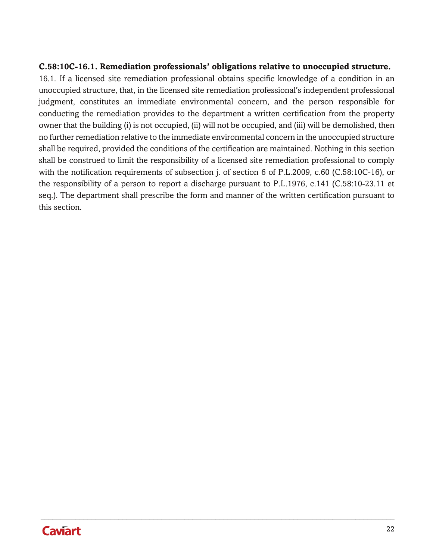#### **C.58:10C-16.1. Remediation professionals' obligations relative to unoccupied structure.**

16.1. If a licensed site remediation professional obtains specific knowledge of a condition in an unoccupied structure, that, in the licensed site remediation professional's independent professional judgment, constitutes an immediate environmental concern, and the person responsible for conducting the remediation provides to the department a written certification from the property owner that the building (i) is not occupied, (ii) will not be occupied, and (iii) will be demolished, then no further remediation relative to the immediate environmental concern in the unoccupied structure shall be required, provided the conditions of the certification are maintained. Nothing in this section shall be construed to limit the responsibility of a licensed site remediation professional to comply with the notification requirements of subsection *j.* of section 6 of P.L.2009, c.60 (C.58:10C-16), or the responsibility of a person to report a discharge pursuant to P.L.1976, c.141 (C.58:10-23.11 et seq.). The department shall prescribe the form and manner of the written certification pursuant to this section.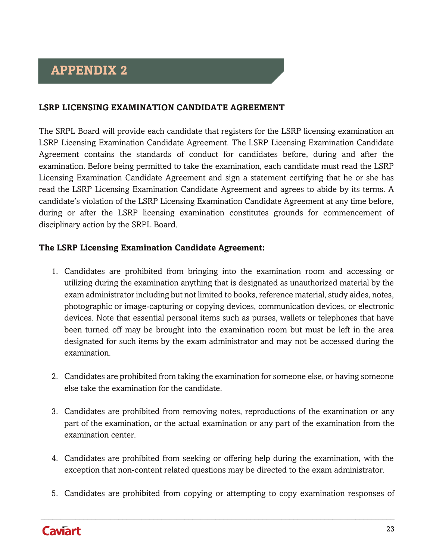# <span id="page-22-0"></span>**APPENDIX 2**

#### **LSRP LICENSING EXAMINATION CANDIDATE AGREEMENT**

The SRPL Board will provide each candidate that registers for the LSRP licensing examination an LSRP Licensing Examination Candidate Agreement. The LSRP Licensing Examination Candidate Agreement contains the standards of conduct for candidates before, during and after the examination. Before being permitted to take the examination, each candidate must read the LSRP Licensing Examination Candidate Agreement and sign a statement certifying that he or she has read the LSRP Licensing Examination Candidate Agreement and agrees to abide by its terms. A candidate's violation of the LSRP Licensing Examination Candidate Agreement at any time before, during or after the LSRP licensing examination constitutes grounds for commencement of disciplinary action by the SRPL Board.

#### **The LSRP Licensing Examination Candidate Agreement:**

- 1. Candidates are prohibited from bringing into the examination room and accessing or utilizing during the examination anything that is designated as unauthorized material by the exam administrator including but not limited to books, reference material, study aides, notes, photographic or image-capturing or copying devices, communication devices, or electronic devices. Note that essential personal items such as purses, wallets or telephones that have been turned off may be brought into the examination room but must be left in the area designated for such items by the exam administrator and may not be accessed during the examination.
- 2. Candidates are prohibited from taking the examination for someone else, or having someone else take the examination for the candidate.
- 3. Candidates are prohibited from removing notes, reproductions of the examination or any part of the examination, or the actual examination or any part of the examination from the examination center.
- 4. Candidates are prohibited from seeking or offering help during the examination, with the exception that non-content related questions may be directed to the exam administrator.
- 5. Candidates are prohibited from copying or attempting to copy examination responses of